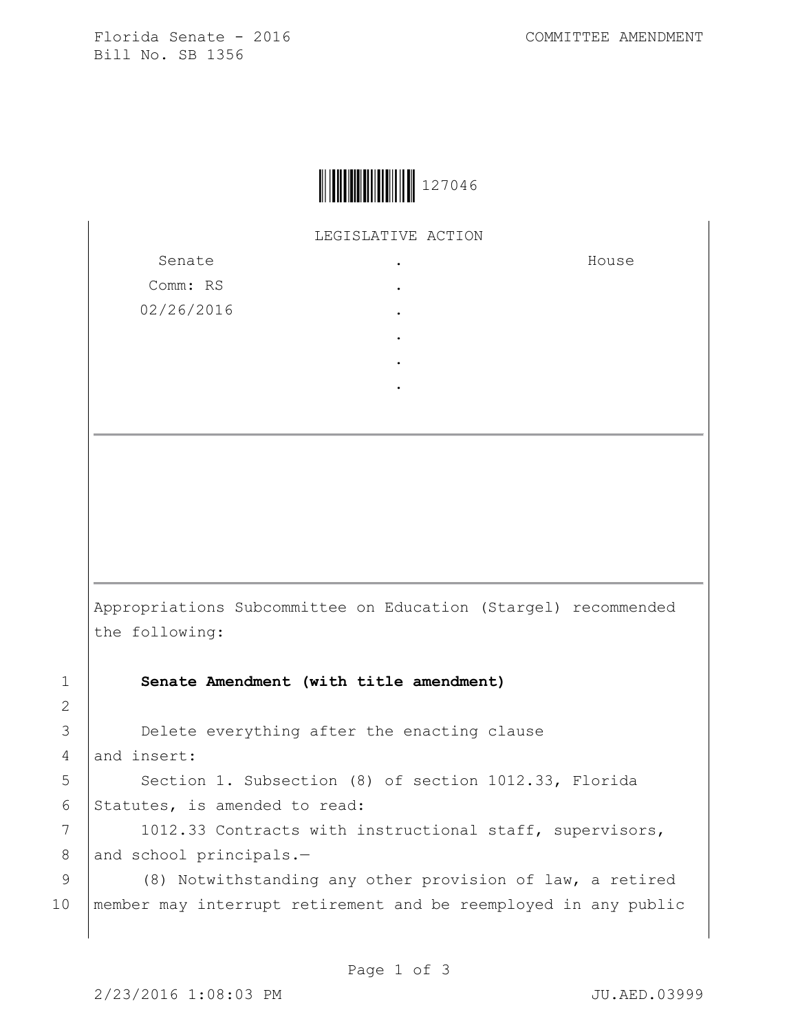Florida Senate - 2016 COMMITTEE AMENDMENT Bill No. SB 1356



LEGISLATIVE ACTION .

> . . . . .

Senate Comm: RS 02/26/2016 House

Appropriations Subcommittee on Education (Stargel) recommended the following:

1 **Senate Amendment (with title amendment)**

3 **Delete everything after the enacting clause** 4 and insert:

5 | Section 1. Subsection (8) of section 1012.33, Florida 6 Statutes, is amended to read:

7 | 1012.33 Contracts with instructional staff, supervisors, 8 and school principals.-

9 | (8) Notwithstanding any other provision of law, a retired 10 member may interrupt retirement and be reemployed in any public

2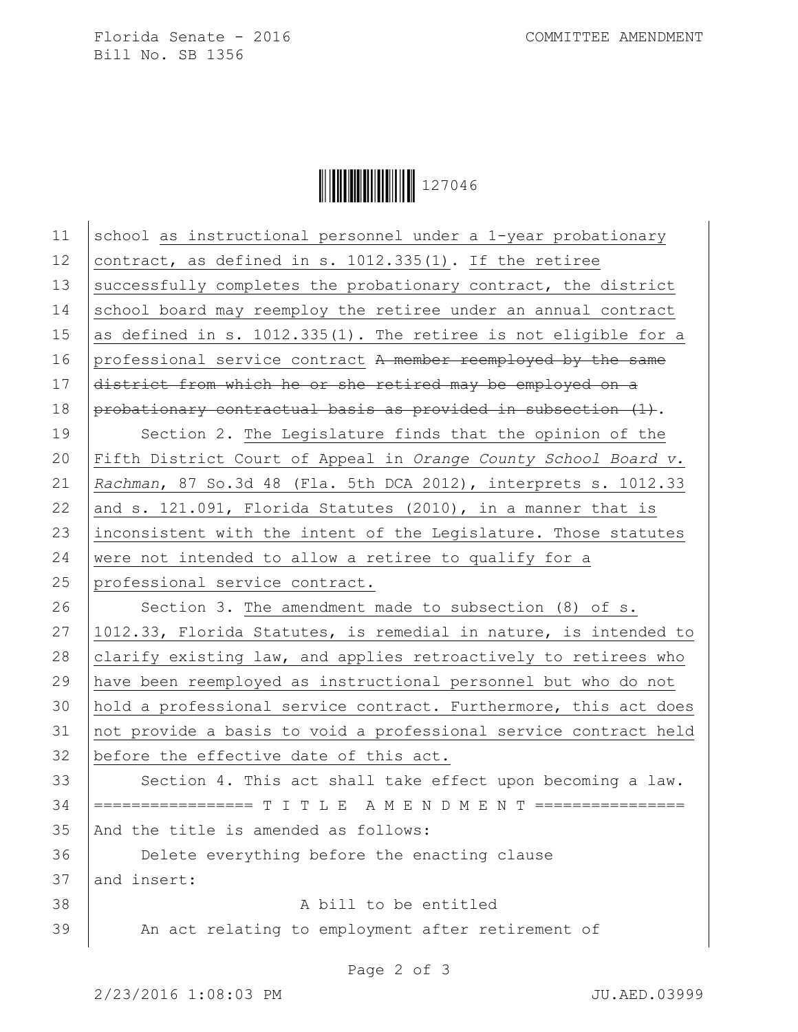Florida Senate - 2016 COMMITTEE AMENDMENT Bill No. SB 1356



| 11 | school as instructional personnel under a 1-year probationary       |
|----|---------------------------------------------------------------------|
| 12 | contract, as defined in s. 1012.335(1). If the retiree              |
| 13 | successfully completes the probationary contract, the district      |
| 14 | school board may reemploy the retiree under an annual contract      |
| 15 | as defined in s. 1012.335(1). The retiree is not eligible for a     |
| 16 | professional service contract A member reemployed by the same       |
| 17 | district from which he or she retired may be employed on a          |
| 18 | $p$ robationary contractual basis as provided in subsection $(1)$ . |
| 19 | Section 2. The Legislature finds that the opinion of the            |
| 20 | Fifth District Court of Appeal in Orange County School Board v.     |
| 21 | Rachman, 87 So.3d 48 (Fla. 5th DCA 2012), interprets s. 1012.33     |
| 22 | and s. 121.091, Florida Statutes (2010), in a manner that is        |
| 23 | inconsistent with the intent of the Legislature. Those statutes     |
| 24 | were not intended to allow a retiree to qualify for a               |
| 25 | professional service contract.                                      |
|    |                                                                     |
| 26 | Section 3. The amendment made to subsection (8) of s.               |
| 27 | 1012.33, Florida Statutes, is remedial in nature, is intended to    |
| 28 | clarify existing law, and applies retroactively to retirees who     |
| 29 | have been reemployed as instructional personnel but who do not      |
| 30 | hold a professional service contract. Furthermore, this act does    |
| 31 | not provide a basis to void a professional service contract held    |
| 32 | before the effective date of this act.                              |
| 33 | Section 4. This act shall take effect upon becoming a law.          |
| 34 | ================= T I T L E A M E N D M E N T ================      |
| 35 | And the title is amended as follows:                                |
| 36 | Delete everything before the enacting clause                        |
| 37 | and insert:                                                         |
| 38 | A bill to be entitled                                               |
| 39 | An act relating to employment after retirement of                   |